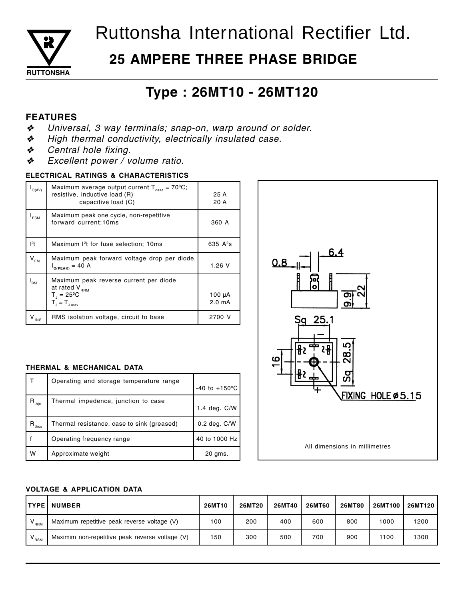

# Ruttonsha International Rectifier Ltd.

# **25 AMPERE THREE PHASE BRIDGE**

# Type: 26MT10 - 26MT120

## **FEATURES**

- Universal, 3 way terminals; snap-on, warp around or solder. ❖
- $\boldsymbol{\psi}$ High thermal conductivity, electrically insulated case.
- Central hole fixing. ❖
- Excellent power / volume ratio. ❖

### ELECTRICAL RATINGS & CHARACTERISTICS

| O(AV)                      | Maximum average output current $T_{\text{case}} = 70^{\circ}\text{C}$ ;<br>resistive, inductive load (R)<br>capacitive load (C) | 25 A<br>20 A                      |  |  |
|----------------------------|---------------------------------------------------------------------------------------------------------------------------------|-----------------------------------|--|--|
| <b>FSM</b>                 | Maximum peak one cycle, non-repetitive<br>forward current;10ms                                                                  | 360 A                             |  |  |
| $ ^{2}t $                  | Maximum 1 <sup>2</sup> t for fuse selection; 10ms                                                                               | 635 $A^2s$                        |  |  |
| $\mathsf{V}_{\mathsf{FM}}$ | Maximum peak forward voltage drop per diode,<br>$I_{O(PEAK)} = 40$ A                                                            | 1.26V                             |  |  |
| $I_{\mathsf{RM}}$          | Maximum peak reverse current per diode<br>at rated V <sub>RRM</sub><br>$T_1 = 25^{\circ}C$<br>$T_{\rm d} = T_{\rm Jmax}$        | $100 \mu A$<br>2.0 <sub>m</sub> A |  |  |
| $V_{INS}$                  | RMS isolation voltage, circuit to base                                                                                          | 2700 V                            |  |  |

### THERMAL & MECHANICAL DATA

|                           | Operating and storage temperature range    | $-40$ to $+150$ °C |
|---------------------------|--------------------------------------------|--------------------|
| $\cdot$ R <sub>thjc</sub> | Thermal impedence, junction to case        | 1.4 deg. C/W       |
| $\cdot$ R <sub>thcs</sub> | Thermal resistance, case to sink (greased) | $0.2$ deg. $C/W$   |
|                           | Operating frequency range                  | 40 to 1000 Hz      |
| W                         | Approximate weight                         | 20 gms.            |



### **VOLTAGE & APPLICATION DATA**

| <b>ITYPE I</b>  | <b>NUMBER</b>                                   | 26MT10 | 26MT20 | <b>26MT40</b> | <b>26MT60</b> | <b>26MT80</b> | <b>26MT100</b> | 26MT120 l |
|-----------------|-------------------------------------------------|--------|--------|---------------|---------------|---------------|----------------|-----------|
| $V_{RRM}$       | Maximum repetitive peak reverse voltage (V)     | 100    | 200    | 400           | 600           | 800           | 000            | 1200      |
| $^{\prime}$ RSM | Maximim non-repetitive peak reverse voltage (V) | 150    | 300    | 500           | 700           | 900           | 1100           | 1300      |